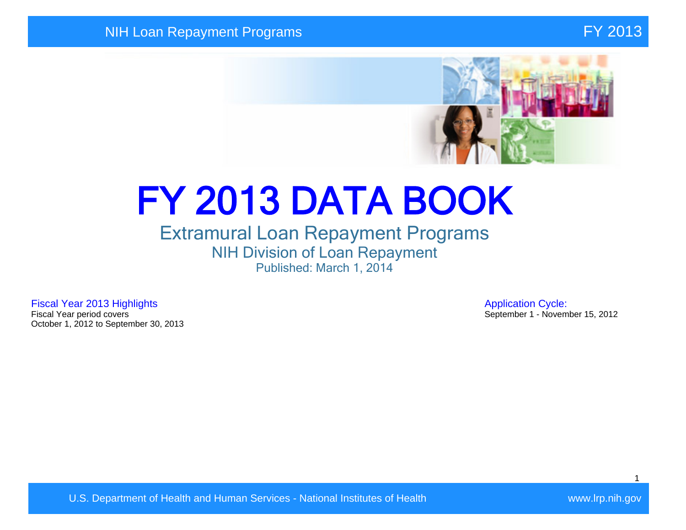### NIH Loan Repayment Programs FY 2013



# FY 2013 DATA BOOK

## Extramural Loan Repayment Programs NIH Division of Loan Repayment Published: March 1, 2014

Fiscal Year 2013 Highlights **Application Cycle:**<br>Fiscal Year period covers **Application Cycle:**<br>September 1 - Novem October 1, 2012 to September 30, 2013

September 1 - November 15, 2012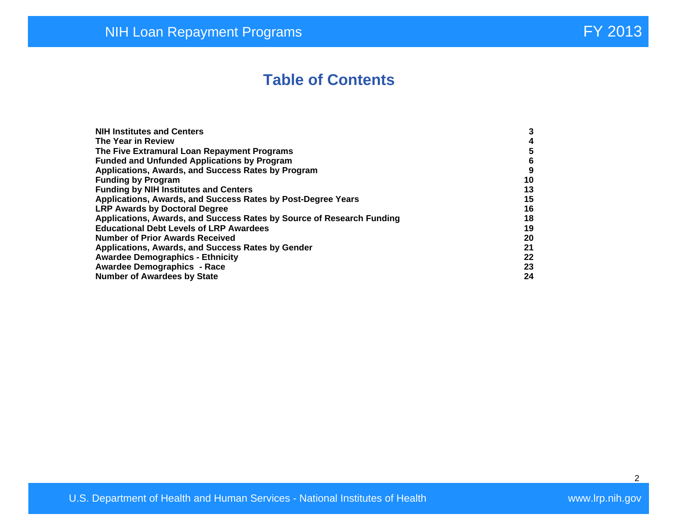## **Table of Contents**

| <b>NIH Institutes and Centers</b>                                     | 3  |
|-----------------------------------------------------------------------|----|
| The Year in Review                                                    | 4  |
|                                                                       |    |
| The Five Extramural Loan Repayment Programs                           | 5  |
| <b>Funded and Unfunded Applications by Program</b>                    | 6  |
| Applications, Awards, and Success Rates by Program                    | 9  |
| <b>Funding by Program</b>                                             | 10 |
| <b>Funding by NIH Institutes and Centers</b>                          | 13 |
| Applications, Awards, and Success Rates by Post-Degree Years          | 15 |
| <b>LRP Awards by Doctoral Degree</b>                                  | 16 |
| Applications, Awards, and Success Rates by Source of Research Funding | 18 |
| <b>Educational Debt Levels of LRP Awardees</b>                        | 19 |
| <b>Number of Prior Awards Received</b>                                | 20 |
| Applications, Awards, and Success Rates by Gender                     | 21 |
| <b>Awardee Demographics - Ethnicity</b>                               | 22 |
| <b>Awardee Demographics - Race</b>                                    | 23 |
| <b>Number of Awardees by State</b>                                    | 24 |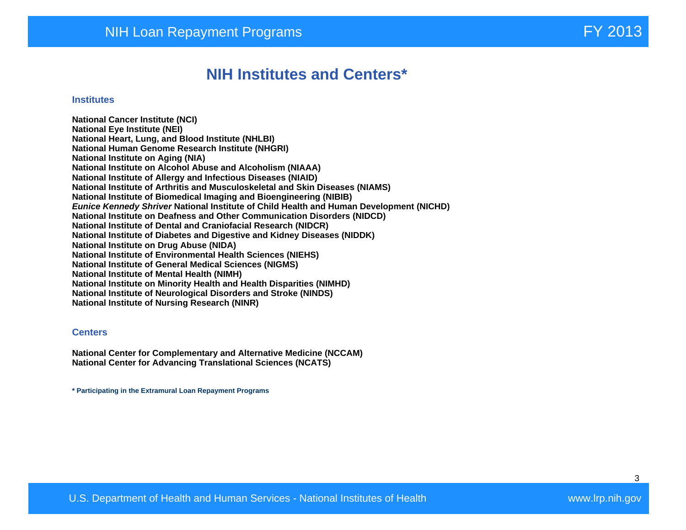### **NIH Institutes and Centers\***

#### **Institutes**

**National Cancer Institute (NCI) National Eye Institute (NEI) National Heart, Lung, and Blood Institute (NHLBI) National Human Genome Research Institute (NHGRI) National Institute on Aging (NIA) National Institute on Alcohol Abuse and Alcoholism (NIAAA) National Institute of Allergy and Infectious Diseases (NIAID) National Institute of Arthritis and Musculoskeletal and Skin Diseases (NIAMS) National Institute of Biomedical Imaging and Bioengineering (NIBIB) Eunice Kennedy Shriver National Institute of Child Health and Human Development (NICHD) National Institute on Deafness and Other Communication Disorders (NIDCD) National Institute of Dental and Craniofacial Research (NIDCR) National Institute of Diabetes and Digestive and Kidney Diseases (NIDDK) National Institute on Drug Abuse (NIDA) National Institute of Environmental Health Sciences (NIEHS) National Institute of General Medical Sciences (NIGMS) National Institute of Mental Health (NIMH) National Institute on Minority Health and Health Disparities (NIMHD) National Institute of Neurological Disorders and Stroke (NINDS) National Institute of Nursing Research (NINR)** 

#### **Centers**

**National Center for Complementary and Alternative Medicine (NCCAM) National Center for Advancing Translational Sciences (NCATS)** 

**\* Participating in the Extramural Loan Repayment Programs**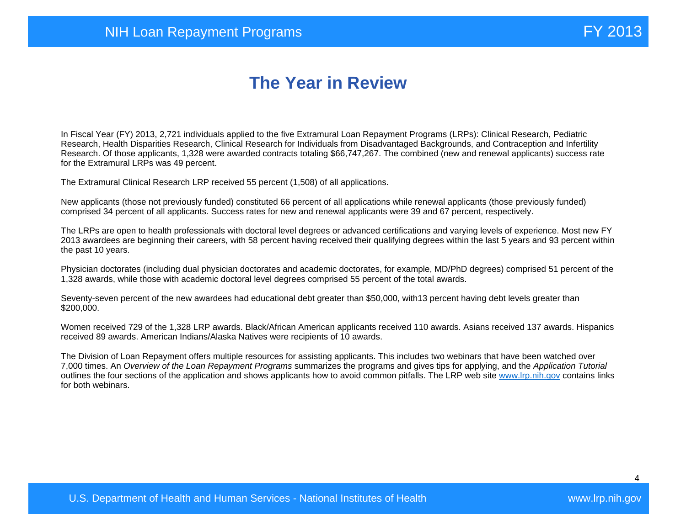# **The Year in Review**

In Fiscal Year (FY) 2013, 2,721 individuals applied to the five Extramural Loan Repayment Programs (LRPs): Clinical Research, Pediatric Research, Health Disparities Research, Clinical Research for Individuals from Disadvantaged Backgrounds, and Contraception and Infertility Research. Of those applicants, 1,328 were awarded contracts totaling \$66,747,267. The combined (new and renewal applicants) success rate for the Extramural LRPs was 49 percent.

The Extramural Clinical Research LRP received 55 percent (1,508) of all applications.

New applicants (those not previously funded) constituted 66 percent of all applications while renewal applicants (those previously funded) comprised 34 percent of all applicants. Success rates for new and renewal applicants were 39 and 67 percent, respectively.

The LRPs are open to health professionals with doctoral level degrees or advanced certifications and varying levels of experience. Most new FY 2013 awardees are beginning their careers, with 58 percent having received their qualifying degrees within the last 5 years and 93 percent within the past 10 years.

Physician doctorates (including dual physician doctorates and academic doctorates, for example, MD/PhD degrees) comprised 51 percent of the 1,328 awards, while those with academic doctoral level degrees comprised 55 percent of the total awards.

Seventy-seven percent of the new awardees had educational debt greater than \$50,000, with 13 percent having debt levels greater than \$200,000.

Women received 729 of the 1,328 LRP awards. Black/African American applicants received 110 awards. Asians received 137 awards. Hispanics received 89 awards. American Indians/Alaska Natives were recipients of 10 awards.

The Division of Loan Repayment offers multiple resources for assisting applicants. This includes two webinars that have been watched over 7,000 times. An Overview of the Loan Repayment Programs summarizes the programs and gives tips for applying, and the Application Tutorial outlines the four sections of the application and shows applicants how to avoid common pitfalls. The LRP web site [www.lrp.nih.gov](http://www.lrp.nih.gov/) contains links for both webinars.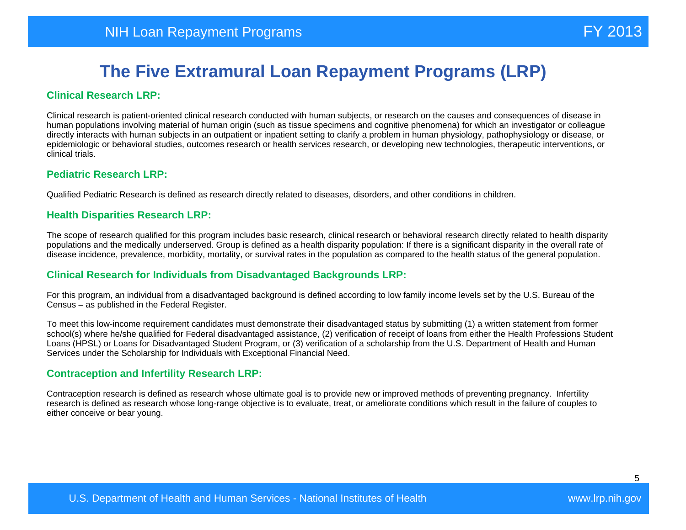#### **Clinical Research LRP:**

Clinical research is patient-oriented clinical research conducted with human subjects, or research on the causes and consequences of disease in human populations involving material of human origin (such as tissue specimens and cognitive phenomena) for which an investigator or colleague directly interacts with human subjects in an outpatient or inpatient setting to clarify a problem in human physiology, pathophysiology or disease, or epidemiologic or behavioral studies, outcomes research or health services research, or developing new technologies, therapeutic interventions, or clinical trials.

#### **Pediatric Research LRP:**

Qualified Pediatric Research is defined as research directly related to diseases, disorders, and other conditions in children.

#### **Health Disparities Research LRP:**

The scope of research qualified for this program includes basic research, clinical research or behavioral research directly related to health disparity populations and the medically underserved. Group is defined as a health disparity population: If there is a significant disparity in the overall rate of disease incidence, prevalence, morbidity, mortality, or survival rates in the population as compared to the health status of the general population.

#### **Clinical Research for Individuals from Disadvantaged Backgrounds LRP:**

For this program, an individual from a disadvantaged background is defined according to low family income levels set by the U.S. Bureau of the Census – as published in the Federal Register.

To meet this low-income requirement candidates must demonstrate their disadvantaged status by submitting (1) a written statement from former school(s) where he/she qualified for Federal disadvantaged assistance, (2) verification of receipt of loans from either the Health Professions Student Loans (HPSL) or Loans for Disadvantaged Student Program, or (3) verification of a scholarship from the U.S. Department of Health and Human Services under the Scholarship for Individuals with Exceptional Financial Need.

#### **Contraception and Infertility Research LRP:**

Contraception research is defined as research whose ultimate goal is to provide new or improved methods of preventing pregnancy. Infertility research is defined as research whose long-range objective is to evaluate, treat, or ameliorate conditions which result in the failure of couples to either conceive or bear young.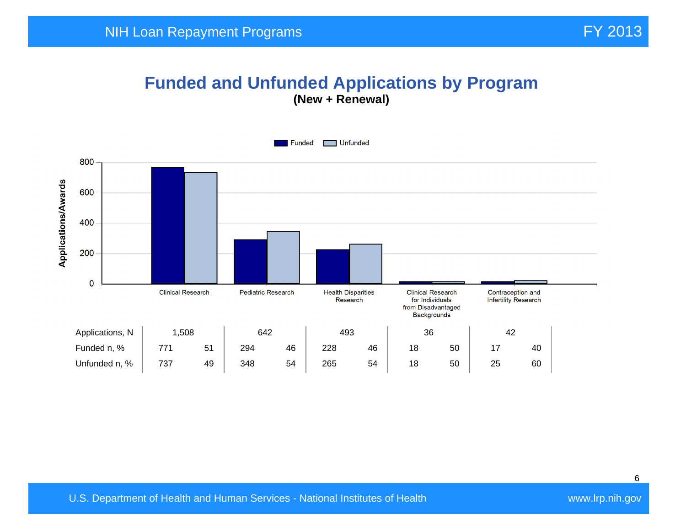#### **Funded and Unfunded Applications by Program (New + Renewal)**

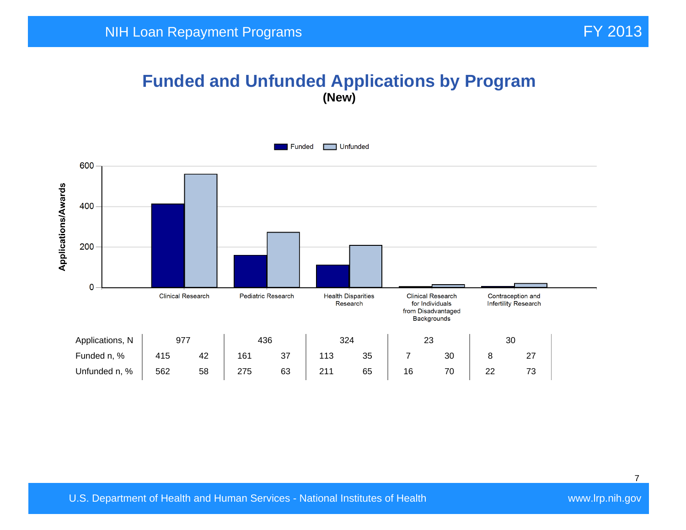## **Funded and Unfunded Applications by Program (New)**

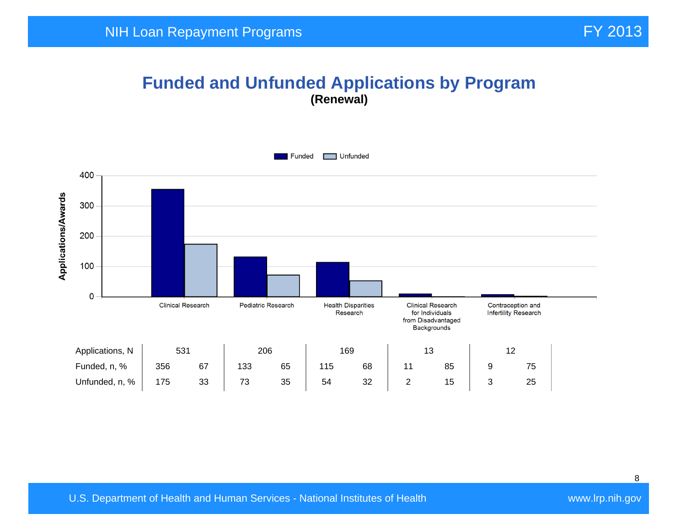#### **Funded and Unfunded Applications by Program (Renewal)**

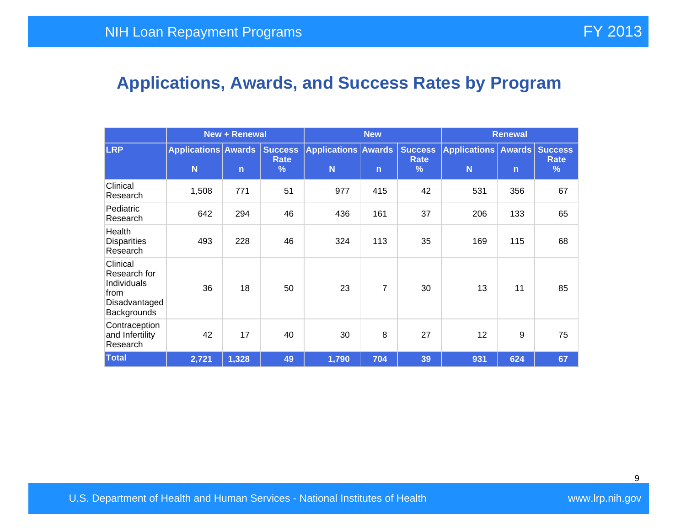# **Applications, Awards, and Success Rates by Program**

|                                                                                 | <b>New + Renewal</b>            |              |                                    | <b>New</b>                      |              |                                                | <b>Renewal</b>                  |              |                                    |
|---------------------------------------------------------------------------------|---------------------------------|--------------|------------------------------------|---------------------------------|--------------|------------------------------------------------|---------------------------------|--------------|------------------------------------|
| <b>LRP</b>                                                                      | <b>Applications Awards</b><br>N | $\mathsf{n}$ | <b>Success</b><br><b>Rate</b><br>% | <b>Applications Awards</b><br>N | $\mathsf{n}$ | <b>Success</b><br><b>Rate</b><br>$\frac{9}{6}$ | <b>Applications Awards</b><br>N | $\mathsf{n}$ | <b>Success</b><br><b>Rate</b><br>% |
| Clinical<br>Research                                                            | 1,508                           | 771          | 51                                 | 977                             | 415          | 42                                             | 531                             | 356          | 67                                 |
| Pediatric<br>Research                                                           | 642                             | 294          | 46                                 | 436                             | 161          | 37                                             | 206                             | 133          | 65                                 |
| Health<br><b>Disparities</b><br>Research                                        | 493                             | 228          | 46                                 | 324                             | 113          | 35                                             | 169                             | 115          | 68                                 |
| Clinical<br>Research for<br>Individuals<br>from<br>Disadvantaged<br>Backgrounds | 36                              | 18           | 50                                 | 23                              | 7            | 30                                             | 13                              | 11           | 85                                 |
| Contraception<br>and Infertility<br>Research                                    | 42                              | 17           | 40                                 | 30                              | 8            | 27                                             | 12                              | 9            | 75                                 |
| <b>Total</b>                                                                    | 2,721                           | 1,328        | 49                                 | 1,790                           | 704          | 39                                             | 931                             | 624          | 67                                 |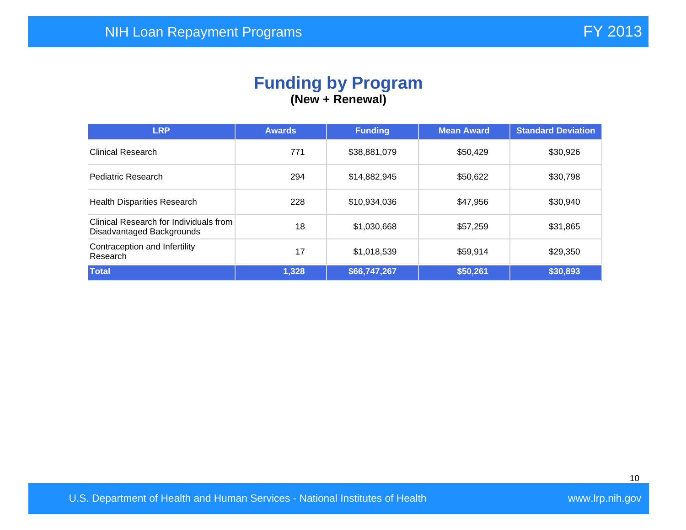### **Funding by Program (New + Renewal)**

| <b>LRP</b>                                                          | <b>Awards</b> | <b>Funding</b> | <b>Mean Award</b> | <b>Standard Deviation</b> |
|---------------------------------------------------------------------|---------------|----------------|-------------------|---------------------------|
| <b>Clinical Research</b>                                            | 771           | \$38,881,079   | \$50,429          | \$30,926                  |
| Pediatric Research                                                  | 294           | \$14,882,945   | \$50,622          | \$30,798                  |
| <b>Health Disparities Research</b>                                  | 228           | \$10,934,036   | \$47,956          | \$30,940                  |
| Clinical Research for Individuals from<br>Disadvantaged Backgrounds | 18            | \$1,030,668    | \$57,259          | \$31,865                  |
| Contraception and Infertility<br>Research                           | 17            | \$1,018,539    | \$59,914          | \$29,350                  |
| <b>Total</b>                                                        | 1,328         | \$66,747,267   | \$50,261          | \$30,893                  |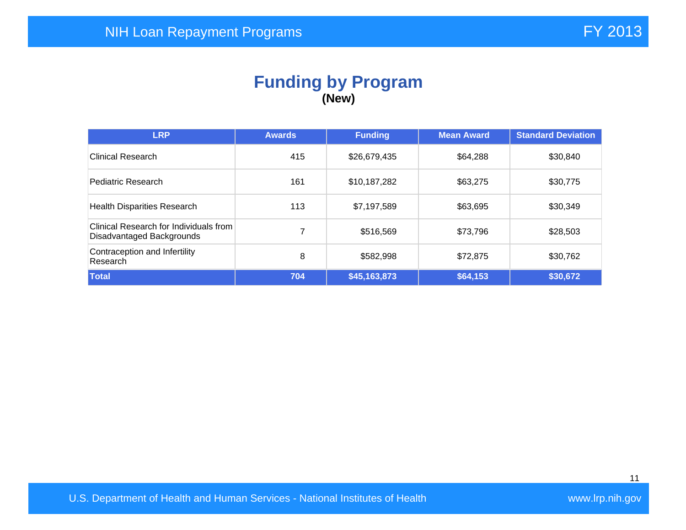### **Funding by Program (New)**

| <b>LRP</b>                                                          | <b>Awards</b> | <b>Funding</b> | <b>Mean Award</b> | <b>Standard Deviation</b> |
|---------------------------------------------------------------------|---------------|----------------|-------------------|---------------------------|
| <b>Clinical Research</b>                                            | 415           | \$26,679,435   | \$64,288          | \$30,840                  |
| Pediatric Research                                                  | 161           | \$10,187,282   | \$63,275          | \$30,775                  |
| <b>Health Disparities Research</b>                                  | 113           | \$7,197,589    | \$63,695          | \$30,349                  |
| Clinical Research for Individuals from<br>Disadvantaged Backgrounds | 7             | \$516,569      | \$73,796          | \$28,503                  |
| Contraception and Infertility<br>Research                           | 8             | \$582,998      | \$72,875          | \$30,762                  |
| Total                                                               | 704           | \$45,163,873   | \$64,153          | \$30,672                  |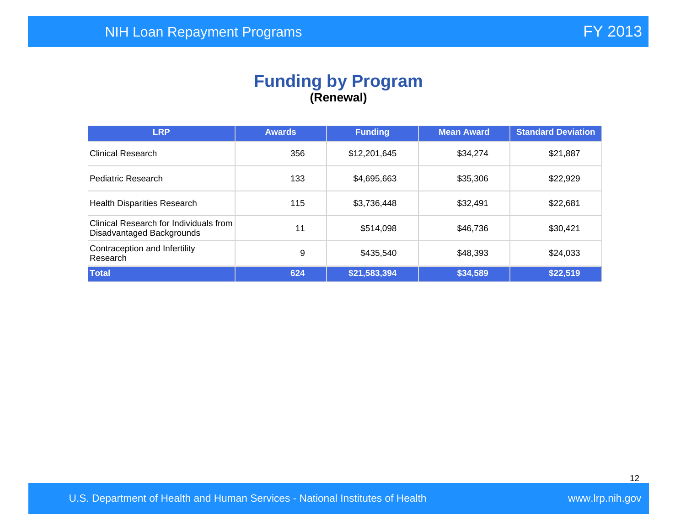## **Funding by Program (Renewal)**

| <b>LRP</b>                                                          | <b>Awards</b> | <b>Funding</b> | <b>Mean Award</b> | <b>Standard Deviation</b> |
|---------------------------------------------------------------------|---------------|----------------|-------------------|---------------------------|
| <b>Clinical Research</b>                                            | 356           | \$12,201,645   | \$34,274          | \$21,887                  |
| Pediatric Research                                                  | 133           | \$4,695,663    | \$35,306          | \$22,929                  |
| <b>Health Disparities Research</b>                                  | 115           | \$3,736,448    | \$32,491          | \$22,681                  |
| Clinical Research for Individuals from<br>Disadvantaged Backgrounds | 11            | \$514,098      | \$46,736          | \$30,421                  |
| Contraception and Infertility<br>Research                           | 9             | \$435,540      | \$48,393          | \$24,033                  |
| Total                                                               | 624           | \$21,583,394   | \$34,589          | \$22,519                  |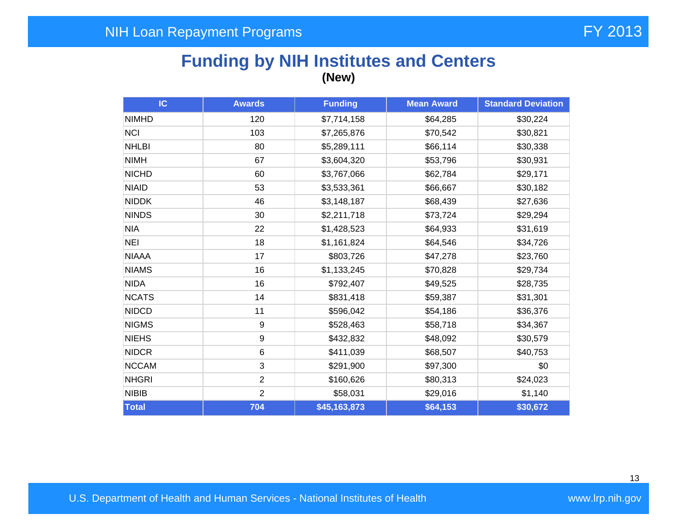# **Funding by NIH Institutes and Centers (New)**

| IC           | <b>Awards</b>  | <b>Funding</b> | <b>Mean Award</b> | <b>Standard Deviation</b> |
|--------------|----------------|----------------|-------------------|---------------------------|
| <b>NIMHD</b> | 120            | \$7,714,158    | \$64,285          | \$30,224                  |
| <b>NCI</b>   | 103            | \$7,265,876    | \$70,542          | \$30,821                  |
| <b>NHLBI</b> | 80             | \$5,289,111    | \$66,114          | \$30,338                  |
| <b>NIMH</b>  | 67             | \$3,604,320    | \$53,796          | \$30,931                  |
| <b>NICHD</b> | 60             | \$3,767,066    | \$62,784          | \$29,171                  |
| <b>NIAID</b> | 53             | \$3,533,361    | \$66,667          | \$30,182                  |
| <b>NIDDK</b> | 46             | \$3,148,187    | \$68,439          | \$27,636                  |
| <b>NINDS</b> | 30             | \$2,211,718    | \$73,724          | \$29,294                  |
| <b>NIA</b>   | 22             | \$1,428,523    | \$64,933          | \$31,619                  |
| <b>NEI</b>   | 18             | \$1,161,824    | \$64,546          | \$34,726                  |
| <b>NIAAA</b> | 17             | \$803,726      | \$47,278          | \$23,760                  |
| <b>NIAMS</b> | 16             | \$1,133,245    | \$70,828          | \$29,734                  |
| <b>NIDA</b>  | 16             | \$792,407      | \$49,525          | \$28,735                  |
| <b>NCATS</b> | 14             | \$831,418      | \$59,387          | \$31,301                  |
| <b>NIDCD</b> | 11             | \$596,042      | \$54,186          | \$36,376                  |
| <b>NIGMS</b> | 9              | \$528,463      | \$58,718          | \$34,367                  |
| <b>NIEHS</b> | 9              | \$432,832      | \$48,092          | \$30,579                  |
| <b>NIDCR</b> | $\,6$          | \$411,039      | \$68,507          | \$40,753                  |
| <b>NCCAM</b> | 3              | \$291,900      | \$97,300          | \$0                       |
| <b>NHGRI</b> | $\overline{2}$ | \$160,626      | \$80,313          | \$24,023                  |
| <b>NIBIB</b> | $\overline{2}$ | \$58,031       | \$29,016          | \$1,140                   |
| Total        | 704            | \$45,163,873   | \$64,153          | \$30,672                  |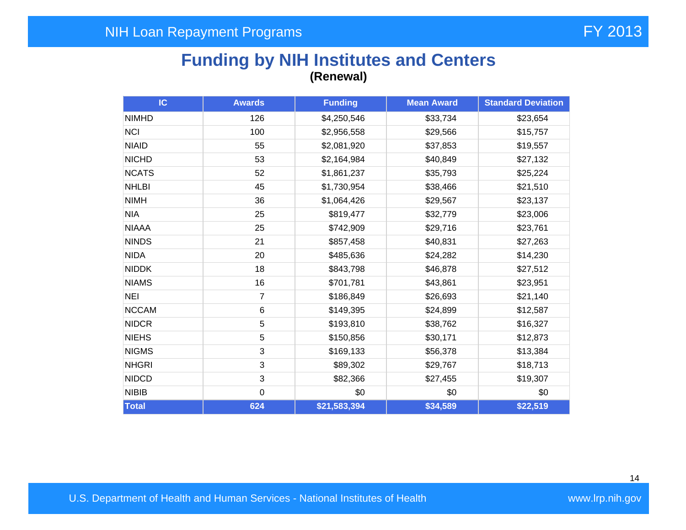## **Funding by NIH Institutes and Centers (Renewal)**

| IC           | <b>Awards</b> | <b>Funding</b> | <b>Mean Award</b> | <b>Standard Deviation</b> |
|--------------|---------------|----------------|-------------------|---------------------------|
| <b>NIMHD</b> | 126           | \$4,250,546    | \$33,734          | \$23,654                  |
| <b>NCI</b>   | 100           | \$2,956,558    | \$29,566          | \$15,757                  |
| <b>NIAID</b> | 55            | \$2,081,920    | \$37,853          | \$19,557                  |
| <b>NICHD</b> | 53            | \$2,164,984    | \$40,849          | \$27,132                  |
| <b>NCATS</b> | 52            | \$1,861,237    | \$35,793          | \$25,224                  |
| <b>NHLBI</b> | 45            | \$1,730,954    | \$38,466          | \$21,510                  |
| <b>NIMH</b>  | 36            | \$1,064,426    | \$29,567          | \$23,137                  |
| <b>NIA</b>   | 25            | \$819,477      | \$32,779          | \$23,006                  |
| <b>NIAAA</b> | 25            | \$742,909      | \$29,716          | \$23,761                  |
| <b>NINDS</b> | 21            | \$857,458      | \$40,831          | \$27,263                  |
| <b>NIDA</b>  | 20            | \$485,636      | \$24,282          | \$14,230                  |
| <b>NIDDK</b> | 18            | \$843,798      | \$46,878          | \$27,512                  |
| <b>NIAMS</b> | 16            | \$701,781      | \$43,861          | \$23,951                  |
| <b>NEI</b>   | 7             | \$186,849      | \$26,693          | \$21,140                  |
| <b>NCCAM</b> | 6             | \$149,395      | \$24,899          | \$12,587                  |
| <b>NIDCR</b> | 5             | \$193,810      | \$38,762          | \$16,327                  |
| <b>NIEHS</b> | 5             | \$150,856      | \$30,171          | \$12,873                  |
| <b>NIGMS</b> | 3             | \$169,133      | \$56,378          | \$13,384                  |
| <b>NHGRI</b> | 3             | \$89,302       | \$29,767          | \$18,713                  |
| <b>NIDCD</b> | 3             | \$82,366       | \$27,455          | \$19,307                  |
| <b>NIBIB</b> | $\mathbf 0$   | \$0            | \$0               | \$0                       |
| Total        | 624           | \$21,583,394   | \$34,589          | \$22,519                  |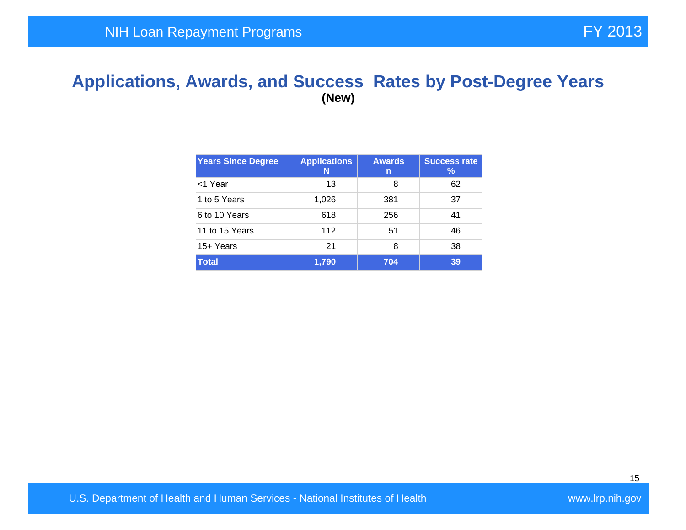#### **Applications, Awards, and Success Rates by Post-Degree Years (New)**

| <b>Years Since Degree</b> | <b>Applications</b><br>N | <b>Awards</b><br>n | <b>Success rate</b><br>℅ |
|---------------------------|--------------------------|--------------------|--------------------------|
| <1 Year                   | 13                       | 8                  | 62                       |
| 1 to 5 Years              | 1,026                    | 381                | 37                       |
| 6 to 10 Years             | 618                      | 256                | 41                       |
| 11 to 15 Years            | 112                      | 51                 | 46                       |
| 15+ Years                 | 21                       | 8                  | 38                       |
| <b>Total</b>              | 1,790                    | 704                | 39                       |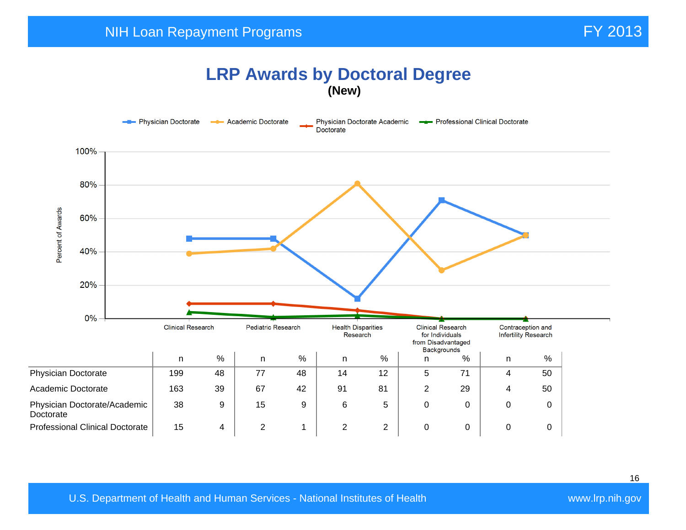## **LRP Awards by Doctoral Degree (New)**

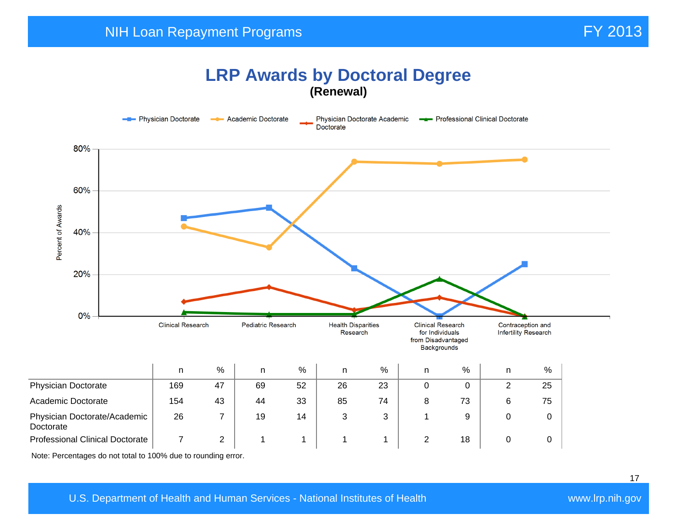## **LRP Awards by Doctoral Degree (Renewal)**



Note: Percentages do not total to 100% due to rounding error.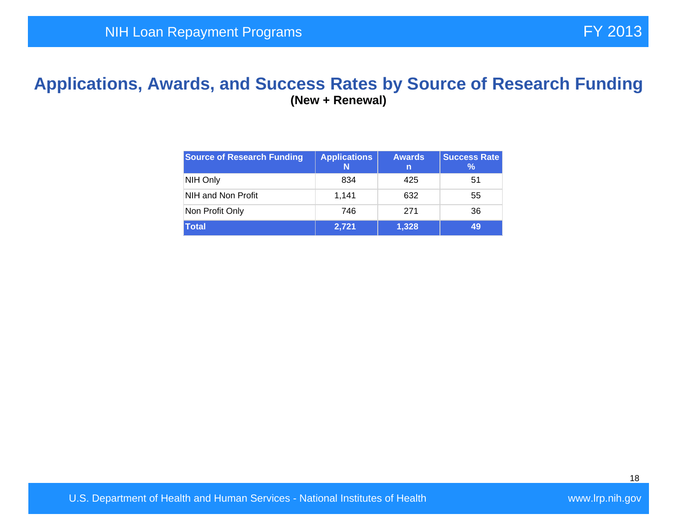#### **Applications, Awards, and Success Rates by Source of Research Funding (New + Renewal)**

| <b>Source of Research Funding</b> | <b>Applications</b><br>N | <b>Awards</b><br>n | <b>Success Rate</b><br>℅ |
|-----------------------------------|--------------------------|--------------------|--------------------------|
| NIH Only                          | 834                      | 425                | 51                       |
| NIH and Non Profit                | 1.141                    | 632                | 55                       |
| Non Profit Only                   | 746                      | 271                | 36                       |
| <b>Total</b>                      | 2,721                    | 1,328              | 49                       |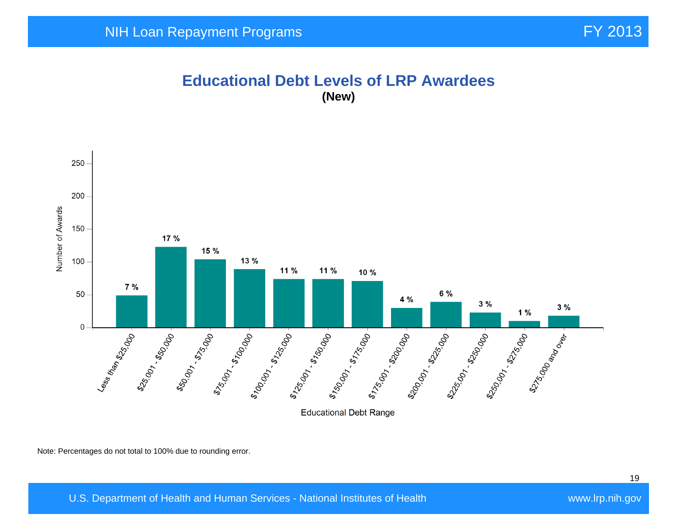#### **Educational Debt Levels of LRP Awardees (New)**



Note: Percentages do not total to 100% due to rounding error.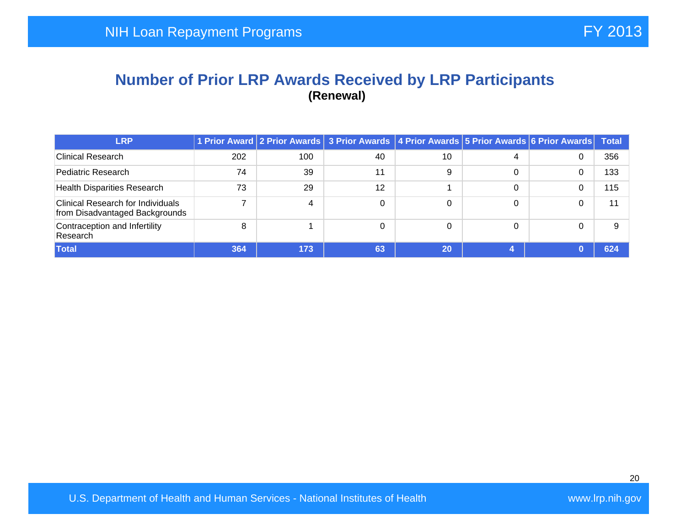#### **Number of Prior LRP Awards Received by LRP Participants (Renewal)**

| <b>LRP</b>                                                                 |     |     | 1 Prior Award 2 Prior Awards 3 Prior Awards 4 Prior Awards 5 Prior Awards 6 Prior Awards Total |    |   |   |     |
|----------------------------------------------------------------------------|-----|-----|------------------------------------------------------------------------------------------------|----|---|---|-----|
| <b>Clinical Research</b>                                                   | 202 | 100 | 40                                                                                             | 10 |   | 0 | 356 |
| Pediatric Research                                                         | 74  | 39  | 11                                                                                             | 9  | 0 | 0 | 133 |
| <b>Health Disparities Research</b>                                         | 73  | 29  | 12                                                                                             |    | 0 | 0 | 115 |
| <b>Clinical Research for Individuals</b><br>from Disadvantaged Backgrounds |     | 4   | $\Omega$                                                                                       |    | 0 | 0 | 11  |
| Contraception and Infertility<br>Research                                  | 8   |     |                                                                                                |    |   |   |     |
| <b>Total</b>                                                               | 364 | 173 | 63                                                                                             | 20 |   |   | 624 |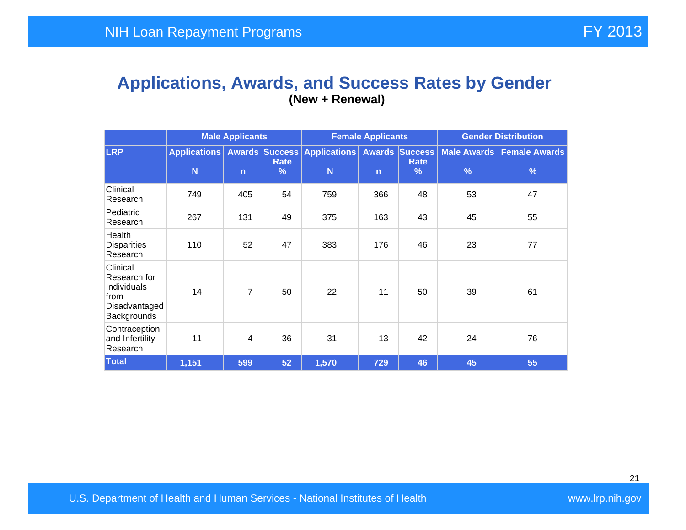#### **Applications, Awards, and Success Rates by Gender (New + Renewal)**

|                                                                                 | <b>Male Applicants</b> |                |                               | <b>Female Applicants</b> |              |                               | <b>Gender Distribution</b> |                      |  |
|---------------------------------------------------------------------------------|------------------------|----------------|-------------------------------|--------------------------|--------------|-------------------------------|----------------------------|----------------------|--|
| <b>LRP</b>                                                                      | <b>Applications</b>    |                | <b>Awards Success</b><br>Rate | <b>Applications</b>      |              | <b>Awards Success</b><br>Rate | Male Awards                | <b>Female Awards</b> |  |
|                                                                                 | N                      | $\mathsf{n}$   | $\frac{9}{6}$                 | N                        | $\mathsf{n}$ | $\%$                          | %                          | %                    |  |
| Clinical<br>Research                                                            | 749                    | 405            | 54                            | 759                      | 366          | 48                            | 53                         | 47                   |  |
| Pediatric<br>Research                                                           | 267                    | 131            | 49                            | 375                      | 163          | 43                            | 45                         | 55                   |  |
| Health<br><b>Disparities</b><br>Research                                        | 110                    | 52             | 47                            | 383                      | 176          | 46                            | 23                         | 77                   |  |
| Clinical<br>Research for<br>Individuals<br>from<br>Disadvantaged<br>Backgrounds | 14                     | $\overline{7}$ | 50                            | 22                       | 11           | 50                            | 39                         | 61                   |  |
| Contraception<br>and Infertility<br>Research                                    | 11                     | 4              | 36                            | 31                       | 13           | 42                            | 24                         | 76                   |  |
| Total                                                                           | 1,151                  | 599            | 52                            | 1,570                    | 729          | 46                            | 45                         | 55                   |  |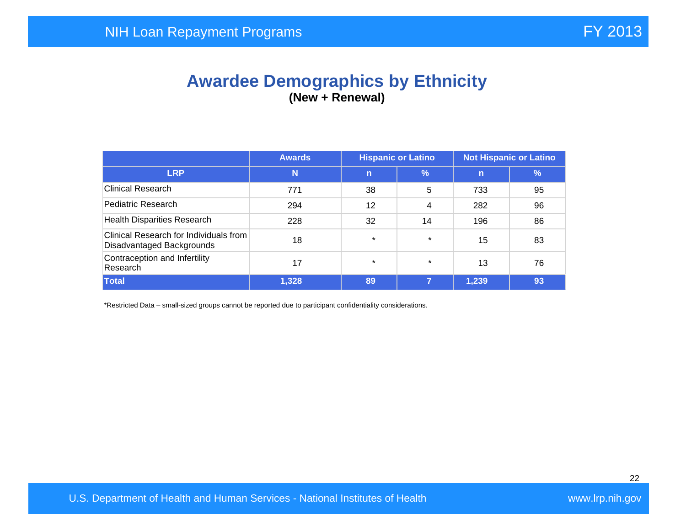## **Awardee Demographics by Ethnicity (New + Renewal)**

|                                                                     | <b>Awards</b> | <b>Hispanic or Latino</b> |         | <b>Not Hispanic or Latino</b> |            |  |
|---------------------------------------------------------------------|---------------|---------------------------|---------|-------------------------------|------------|--|
| <b>LRP</b>                                                          | N             | $\mathbf n$               | %       | $\mathsf{n}$                  | $\sqrt{2}$ |  |
| <b>Clinical Research</b>                                            | 771           | 38                        | 5       | 733                           | 95         |  |
| Pediatric Research                                                  | 294           | 12                        | 4       | 282                           | 96         |  |
| <b>Health Disparities Research</b>                                  | 228           | 32                        | 14      | 196                           | 86         |  |
| Clinical Research for Individuals from<br>Disadvantaged Backgrounds | 18            | $\star$                   | $\star$ | 15                            | 83         |  |
| Contraception and Infertility<br>Research                           | 17            | $\star$                   | $\star$ | 13                            | 76         |  |
| <b>Total</b>                                                        | 1,328         | 89                        |         | 1,239                         | 93         |  |

\*Restricted Data – small-sized groups cannot be reported due to participant confidentiality considerations.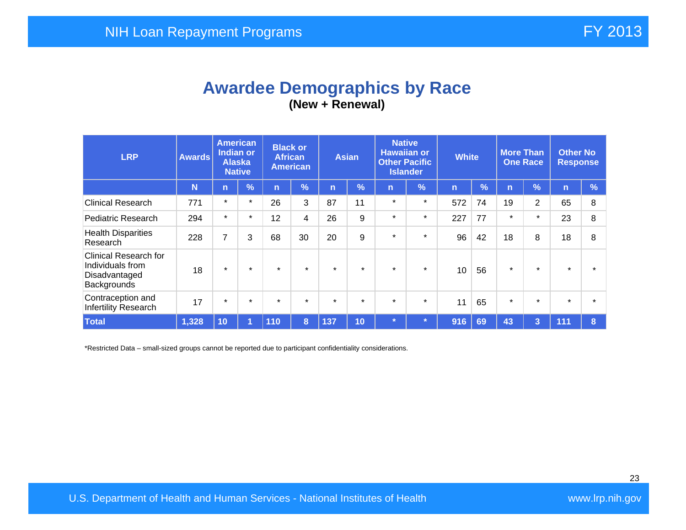## **Awardee Demographics by Race (New + Renewal)**

| <b>LRP</b>                                                                       | <b>Awards</b> | <b>American</b><br><b>Indian or</b><br><b>Alaska</b><br><b>Native</b> |            | <b>Black or</b><br><b>African</b><br><b>American</b> |         | <b>Asian</b> |            | <b>Native</b><br><b>Hawaiian or</b><br><b>Other Pacific</b><br><b>Islander</b> |               | <b>White</b> |               | <b>More Than</b><br><b>One Race</b> |               | <b>Other No</b><br><b>Response</b> |               |
|----------------------------------------------------------------------------------|---------------|-----------------------------------------------------------------------|------------|------------------------------------------------------|---------|--------------|------------|--------------------------------------------------------------------------------|---------------|--------------|---------------|-------------------------------------|---------------|------------------------------------|---------------|
|                                                                                  | N             | $\mathsf{n}$                                                          | $\sqrt{2}$ | n                                                    | %       | n            | $\sqrt{2}$ | $\mathsf{n}$                                                                   | $\frac{9}{6}$ | n            | $\frac{9}{6}$ | n                                   | $\frac{1}{2}$ | $\mathsf{n}$                       | $\frac{9}{6}$ |
| <b>Clinical Research</b>                                                         | 771           | $\star$                                                               | $\star$    | 26                                                   | 3       | 87           | 11         | $\star$                                                                        | $\star$       | 572          | 74            | 19                                  | 2             | 65                                 | 8             |
| <b>Pediatric Research</b>                                                        | 294           | $\star$                                                               | $\star$    | 12                                                   | 4       | 26           | 9          | $\star$                                                                        | $\star$       | 227          | 77            | $\star$                             | $\star$       | 23                                 | 8             |
| <b>Health Disparities</b><br>Research                                            | 228           | 7                                                                     | 3          | 68                                                   | 30      | 20           | 9          | $\star$                                                                        | $\star$       | 96           | 42            | 18                                  | 8             | 18                                 | 8             |
| <b>Clinical Research for</b><br>Individuals from<br>Disadvantaged<br>Backgrounds | 18            | $\star$                                                               | $\star$    | $\star$                                              | $\star$ | $\star$      | $\star$    | $\star$                                                                        | $\star$       | 10           | 56            | $\star$                             | $\star$       | $\star$                            |               |
| Contraception and<br>Infertility Research                                        | 17            | $\star$                                                               | $\star$    | $\star$                                              | $\star$ | $\star$      | $\star$    | $\star$                                                                        | $\star$       | 11           | 65            | $\star$                             | $\star$       | $\star$                            |               |
| <b>Total</b>                                                                     | 1,328         | 10                                                                    |            | 110                                                  | 8       | 137          | 10         | $\star$                                                                        |               | 916          | 69            | 43                                  | 3             | 111                                | 8             |

\*Restricted Data – small-sized groups cannot be reported due to participant confidentiality considerations.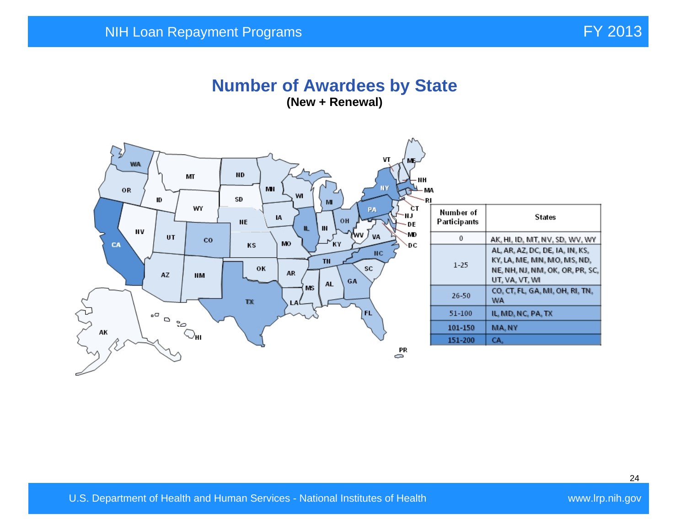#### **Number of Awardees by State (New + Renewal)**